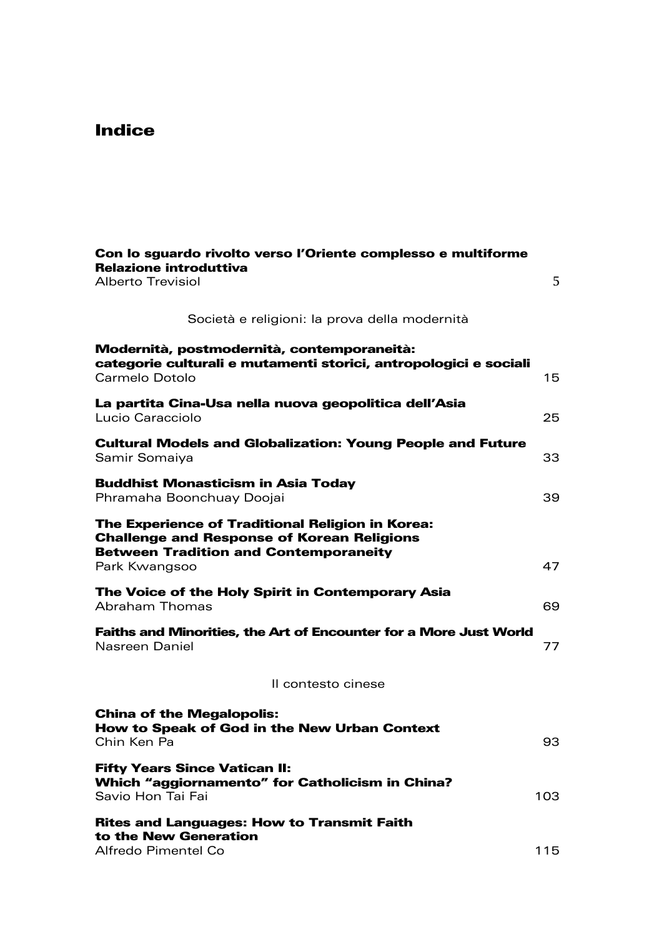## Indice

| Con lo sguardo rivolto verso l'Oriente complesso e multiforme<br><b>Relazione introduttiva</b><br>Alberto Trevisiol                                                    | 5   |
|------------------------------------------------------------------------------------------------------------------------------------------------------------------------|-----|
| Società e religioni: la prova della modernità                                                                                                                          |     |
| Modernità, postmodernità, contemporaneità:<br>categorie culturali e mutamenti storici, antropologici e sociali<br>Carmelo Dotolo                                       | 15  |
| La partita Cina-Usa nella nuova geopolitica dell'Asia<br>Lucio Caracciolo                                                                                              | 25  |
| <b>Cultural Models and Globalization: Young People and Future</b><br>Samir Somaiya                                                                                     | 33  |
| <b>Buddhist Monasticism in Asia Today</b><br>Phramaha Boonchuay Doojai                                                                                                 | 39  |
| The Experience of Traditional Religion in Korea:<br><b>Challenge and Response of Korean Religions</b><br><b>Between Tradition and Contemporaneity</b><br>Park Kwangsoo | 47  |
| The Voice of the Holy Spirit in Contemporary Asia<br>Abraham Thomas                                                                                                    | 69  |
| <b>Faiths and Minorities, the Art of Encounter for a More Just World</b><br>Nasreen Daniel                                                                             | 77  |
| Il contesto cinese                                                                                                                                                     |     |
| <b>China of the Megalopolis:</b><br>How to Speak of God in the New Urban Context<br>Chin Ken Pa                                                                        | 93  |
| <b>Fifty Years Since Vatican II:</b><br>Which "aggiornamento" for Catholicism in China?<br>Savio Hon Tai Fai                                                           | 103 |
| <b>Rites and Languages: How to Transmit Faith</b><br>to the New Generation<br>Alfredo Pimentel Co                                                                      | 115 |